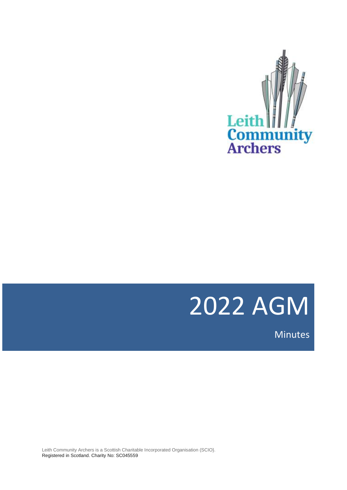

# 2022 AGM

Minutes

Leith Community Archers is a Scottish Charitable Incorporated Organisation (SCIO}. Registered in Scotland. Charity No: SC045559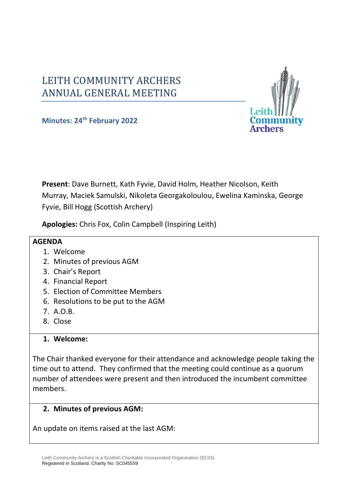# LEITH COMMUNITY ARCHERS ANNUAL GENERAL MEETING



**Minutes: 24 th February 2022**

**Present**: Dave Burnett, Kath Fyvie, David Holm, Heather Nicolson, Keith Murray, Maciek Samulski, Nikoleta Georgakoloulou, Ewelina Kaminska, George Fyvie, Bill Hogg (Scottish Archery)

**Apologies:** Chris Fox, Colin Campbell (Inspiring Leith)

#### **AGENDA**

- 1. Welcome
- 2. Minutes of previous AGM
- 3. Chair's Report
- 4. Financial Report
- 5. Election of Committee Members
- 6. Resolutions to be put to the AGM
- 7. A.O.B.
- 8. Close

#### **1. Welcome:**

The Chair thanked everyone for their attendance and acknowledge people taking the time out to attend. They confirmed that the meeting could continue as a quorum number of attendees were present and then introduced the incumbent committee members.

#### **2. Minutes of previous AGM:**

An update on items raised at the last AGM: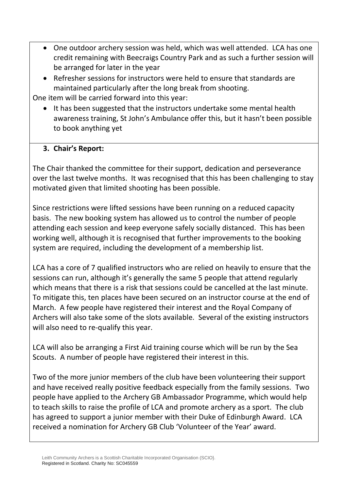- One outdoor archery session was held, which was well attended. LCA has one credit remaining with Beecraigs Country Park and as such a further session will be arranged for later in the year
- Refresher sessions for instructors were held to ensure that standards are maintained particularly after the long break from shooting.

One item will be carried forward into this year:

• It has been suggested that the instructors undertake some mental health awareness training, St John's Ambulance offer this, but it hasn't been possible to book anything yet

## **3. Chair's Report:**

The Chair thanked the committee for their support, dedication and perseverance over the last twelve months. It was recognised that this has been challenging to stay motivated given that limited shooting has been possible.

Since restrictions were lifted sessions have been running on a reduced capacity basis. The new booking system has allowed us to control the number of people attending each session and keep everyone safely socially distanced. This has been working well, although it is recognised that further improvements to the booking system are required, including the development of a membership list.

LCA has a core of 7 qualified instructors who are relied on heavily to ensure that the sessions can run, although it's generally the same 5 people that attend regularly which means that there is a risk that sessions could be cancelled at the last minute. To mitigate this, ten places have been secured on an instructor course at the end of March. A few people have registered their interest and the Royal Company of Archers will also take some of the slots available. Several of the existing instructors will also need to re-qualify this year.

LCA will also be arranging a First Aid training course which will be run by the Sea Scouts. A number of people have registered their interest in this.

Two of the more junior members of the club have been volunteering their support and have received really positive feedback especially from the family sessions. Two people have applied to the Archery GB Ambassador Programme, which would help to teach skills to raise the profile of LCA and promote archery as a sport. The club has agreed to support a junior member with their Duke of Edinburgh Award. LCA received a nomination for Archery GB Club 'Volunteer of the Year' award.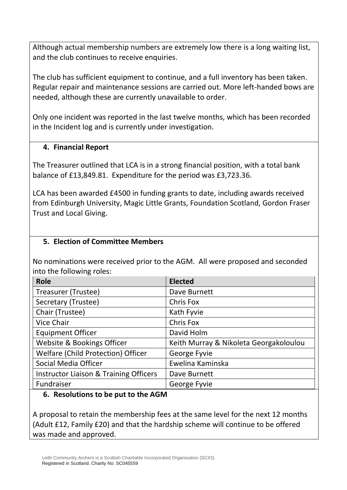Although actual membership numbers are extremely low there is a long waiting list, and the club continues to receive enquiries.

The club has sufficient equipment to continue, and a full inventory has been taken. Regular repair and maintenance sessions are carried out. More left-handed bows are needed, although these are currently unavailable to order.

Only one incident was reported in the last twelve months, which has been recorded in the Incident log and is currently under investigation.

#### **4. Financial Report**

The Treasurer outlined that LCA is in a strong financial position, with a total bank balance of £13,849.81. Expenditure for the period was £3,723.36.

LCA has been awarded £4500 in funding grants to date, including awards received from Edinburgh University, Magic Little Grants, Foundation Scotland, Gordon Fraser Trust and Local Giving.

#### **5. Election of Committee Members**

No nominations were received prior to the AGM. All were proposed and seconded into the following roles:

| <b>Role</b>                                       | <b>Elected</b>                         |
|---------------------------------------------------|----------------------------------------|
| Treasurer (Trustee)                               | Dave Burnett                           |
| Secretary (Trustee)                               | Chris Fox                              |
| Chair (Trustee)                                   | Kath Fyvie                             |
| <b>Vice Chair</b>                                 | Chris Fox                              |
| <b>Equipment Officer</b>                          | David Holm                             |
| Website & Bookings Officer                        | Keith Murray & Nikoleta Georgakoloulou |
| Welfare (Child Protection) Officer                | George Fyvie                           |
| Social Media Officer                              | Ewelina Kaminska                       |
| <b>Instructor Liaison &amp; Training Officers</b> | Dave Burnett                           |
| Fundraiser                                        | George Fyvie                           |

#### **6. Resolutions to be put to the AGM**

A proposal to retain the membership fees at the same level for the next 12 months (Adult £12, Family £20) and that the hardship scheme will continue to be offered was made and approved.